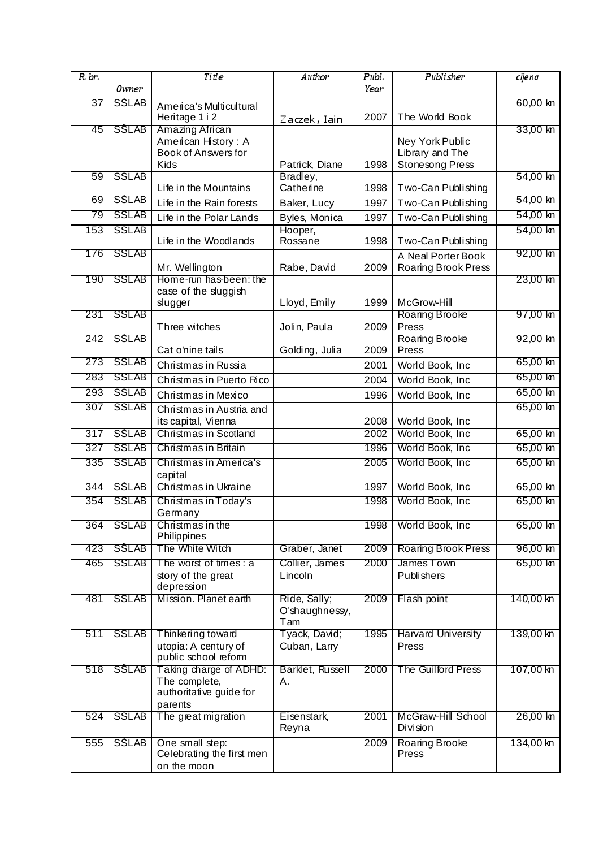| R. br. |              | Title                                                              | Author                                | Publ. | Publisher                  | cijena    |
|--------|--------------|--------------------------------------------------------------------|---------------------------------------|-------|----------------------------|-----------|
|        | Owner        |                                                                    |                                       | Year  |                            |           |
| 37     | <b>SSLAB</b> | America's Multicultural<br>Heritage 1 i 2                          | Zaczek, Iain                          | 2007  | The World Book             | 60,00 kn  |
| 45     | <b>SSLAB</b> | Amazing African                                                    |                                       |       |                            | 33,00 kn  |
|        |              | American History: A                                                |                                       |       | Ney York Public            |           |
|        |              | Book of Answers for                                                |                                       |       | Library and The            |           |
| 59     | <b>SSLAB</b> | <b>Kids</b>                                                        | Patrick, Diane<br>Bradley,            | 1998  | <b>Stonesong Press</b>     | 54,00 kn  |
|        |              | Life in the Mountains                                              | Catherine                             | 1998  | Two-Can Publishing         |           |
| 69     | <b>SSLAB</b> | Life in the Rain forests                                           | Baker, Lucy                           | 1997  | Two-Can Publishing         | 54,00 kn  |
| 79     | <b>SSLAB</b> | Life in the Polar Lands                                            | Byles, Monica                         | 1997  | Two-Can Publishing         | 54,00 kn  |
| 153    | <b>SSLAB</b> | Life in the Woodlands                                              | Hooper,<br>Rossane                    | 1998  | Two-Can Publishing         | 54,00 kn  |
| 176    | <b>SSLAB</b> |                                                                    |                                       |       | A Neal Porter Book         | 92,00 kn  |
|        |              | Mr. Wellington                                                     | Rabe, David                           | 2009  | Roaring Brook Press        |           |
| 190    | <b>SSLAB</b> | Home-run has-been: the                                             |                                       |       |                            | 23,00 kn  |
|        |              | case of the sluggish<br>slugger                                    | Lloyd, Emily                          | 1999  | McGrow-Hill                |           |
| 231    | <b>SSLAB</b> |                                                                    |                                       |       | Roaring Brooke             | 97,00 kn  |
|        |              | Three witches                                                      | Jolin, Paula                          | 2009  | Press                      |           |
| 242    | <b>SSLAB</b> | Cat o'nine tails                                                   | Golding, Julia                        | 2009  | Roaring Brooke<br>Press    | 92,00 kn  |
| 273    | <b>SSLAB</b> | Christmas in Russia                                                |                                       | 2001  | World Book, Inc            | 65,00 kn  |
| 283    | <b>SSLAB</b> | Christmas in Puerto Rico                                           |                                       | 2004  | World Book, Inc            | 65,00 kn  |
| 293    | <b>SSLAB</b> | Christmas in Mexico                                                |                                       | 1996  | World Book, Inc            | 65,00 kn  |
| 307    | <b>SSLAB</b> | Christmas in Austria and                                           |                                       |       |                            | 65,00 kn  |
|        |              | its capital, Vienna                                                |                                       | 2008  | World Book, Inc            |           |
| 317    | <b>SSLAB</b> | Christmas in Scotland                                              |                                       | 2002  | World Book, Inc.           | 65,00 kn  |
| 327    | <b>SSLAB</b> | Christmas in Britain                                               |                                       | 1996  | World Book, Inc            | 65,00 kn  |
| 335    | <b>SSLAB</b> | Christmas in America's<br>capital                                  |                                       | 2005  | World Book, Inc.           | 65,00 kn  |
| 344    | <b>SSLAB</b> | Christmas in Ukraine                                               |                                       | 1997  | World Book, Inc.           | 65,00 kn  |
| 354    | <b>SSLAB</b> | Christmas in Today's                                               |                                       | 1998  | World Book, Inc.           | 65,00 kn  |
|        |              | Germany                                                            |                                       |       |                            |           |
| 364    | <b>SSLAB</b> | Christmas in the<br>Philippines                                    |                                       | 1998  | World Book, Inc.           | 65,00 kn  |
| 423    | <b>SSLAB</b> | The White Witch                                                    | Graber, Janet                         | 2009  | <b>Roaring Brook Press</b> | 96,00 kn  |
| 465    | <b>SSLAB</b> | The worst of times : a<br>story of the great<br>depression         | Collier, James<br>Lincoln             | 2000  | James Town<br>Publishers   | 65,00 kn  |
| 481    | <b>SSLAB</b> | Mission. Planet earth                                              | Ride, Sally;<br>O'shaughnessy,<br>Tam | 2009  | Flash point                | 140,00 kn |
| 511    | <b>SSLAB</b> | Thinkering toward                                                  | Tyack, David;                         | 1995  | <b>Harvard University</b>  | 139,00 kn |
|        |              | utopia: A century of<br>public school reform                       | Cuban, Larry                          |       | Press                      |           |
| 518    | <b>SSLAB</b> | Taking charge of ADHD:<br>The complete,<br>authoritative guide for | Barklet, Russell<br>Α.                | 2000  | The Guilford Press         | 107,00 kn |
| 524    | <b>SSLAB</b> | parents<br>The great migration                                     | Eisenstark,                           | 2001  | McGraw-Hill School         | 26,00 kn  |
|        |              |                                                                    | Reyna                                 |       | Division                   |           |
| 555    | <b>SSLAB</b> | One small step:<br>Celebrating the first men<br>on the moon        |                                       | 2009  | Roaring Brooke<br>Press    | 134,00 kn |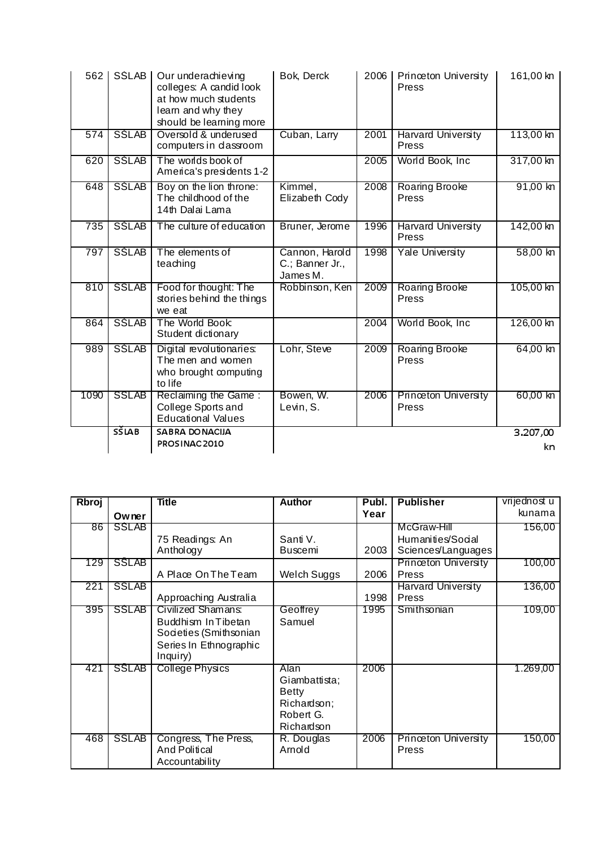| 562  | <b>SSLAB</b>        | Our underachieving<br>colleges: A candid look<br>at how much students<br>learn and why they<br>should be learning more | Bok, Derck                                    | 2006 | Princeton University<br>Press        | 161,00 kn      |
|------|---------------------|------------------------------------------------------------------------------------------------------------------------|-----------------------------------------------|------|--------------------------------------|----------------|
| 574  | <b>SSLAB</b>        | Oversold & underused<br>computers in dassroom                                                                          | Cuban, Larry                                  | 2001 | <b>Harvard University</b><br>Press   | 113,00 kn      |
| 620  | <b>SSLAB</b>        | The worlds book of<br>America's presidents 1-2                                                                         |                                               | 2005 | World Book, Inc.                     | 317,00 kn      |
| 648  | <b>SSLAB</b>        | Boy on the lion throne:<br>The childhood of the<br>14th Dalai Lama                                                     | Kimmel,<br>Elizabeth Cody                     | 2008 | <b>Roaring Brooke</b><br>Press       | 91,00 kn       |
| 735  | <b>SSLAB</b>        | The culture of education                                                                                               | Bruner, Jerome                                | 1996 | <b>Harvard University</b><br>Press   | 142,00 kn      |
| 797  | <b>SSLAB</b>        | The elements of<br>teaching                                                                                            | Cannon, Harold<br>C.; Banner Jr.,<br>James M. | 1998 | <b>Yale University</b>               | 58,00 kn       |
| 810  | <b>SSLAB</b>        | Food for thought: The<br>stories behind the things<br>we eat                                                           | Robbinson, Ken                                | 2009 | <b>Roaring Brooke</b><br>Press       | 105,00 kn      |
| 864  | <b>SSLAB</b>        | The World Book:<br>Student dictionary                                                                                  |                                               | 2004 | World Book, Inc                      | 126,00 kn      |
| 989  | <b>SSLAB</b>        | Digital revolutionaries:<br>The men and women<br>who brought computing<br>to life                                      | Lohr, Steve                                   | 2009 | <b>Roaring Brooke</b><br>Press       | 64,00 kn       |
| 1090 | <b>SSLAB</b>        | Reclaiming the Game:<br>College Sports and<br><b>Educational Values</b>                                                | Bowen, W.<br>Levin, S.                        | 2006 | <b>Princeton University</b><br>Press | 60,00 kn       |
|      | $S\overline{S}$ IAB | <b>SABRA DO NACIJA</b><br>PROSINAC2010                                                                                 |                                               |      |                                      | 3.207,00<br>kn |

| <b>Rbroj</b> |              | <b>Title</b>                                                                                              | <b>Author</b>                                                                   | Publ. | <b>Publisher</b>                        | vrijednost u |
|--------------|--------------|-----------------------------------------------------------------------------------------------------------|---------------------------------------------------------------------------------|-------|-----------------------------------------|--------------|
|              | Owner        |                                                                                                           |                                                                                 | Year  |                                         | kunama       |
| 86           | <b>SSLAB</b> |                                                                                                           |                                                                                 |       | McGraw-Hill                             | 156,00       |
|              |              | 75 Readings: An<br>Anthology                                                                              | Santi V.<br><b>Buscemi</b>                                                      | 2003  | Humanities/Social<br>Sciences/Languages |              |
| 129          | <b>SSLAB</b> |                                                                                                           |                                                                                 |       | <b>Princeton University</b>             | 100,00       |
|              |              | A Place On The Team                                                                                       | Welch Suggs                                                                     | 2006  | <b>Press</b>                            |              |
| 221          | <b>SSLAB</b> | Approaching Australia                                                                                     |                                                                                 | 1998  | Harvard University<br>Press             | 136,00       |
| 395          | <b>SSLAB</b> | Civilized Shamans:<br>Buddhism In Tibetan<br>Societies (Smithsonian<br>Series In Ethnographic<br>Inquiry) | Geoffrey<br>Samuel                                                              | 1995  | Smithsonian                             | 109,00       |
| 421          | <b>SSLAB</b> | <b>College Physics</b>                                                                                    | Alan<br>Giambattista;<br><b>Betty</b><br>Richardson;<br>Robert G.<br>Richardson | 2006  |                                         | 1.269,00     |
| 468          | <b>SSLAB</b> | Congress, The Press,<br>And Political<br>Accountability                                                   | R. Douglas<br>Arnold                                                            | 2006  | Princeton University<br>Press           | 150,00       |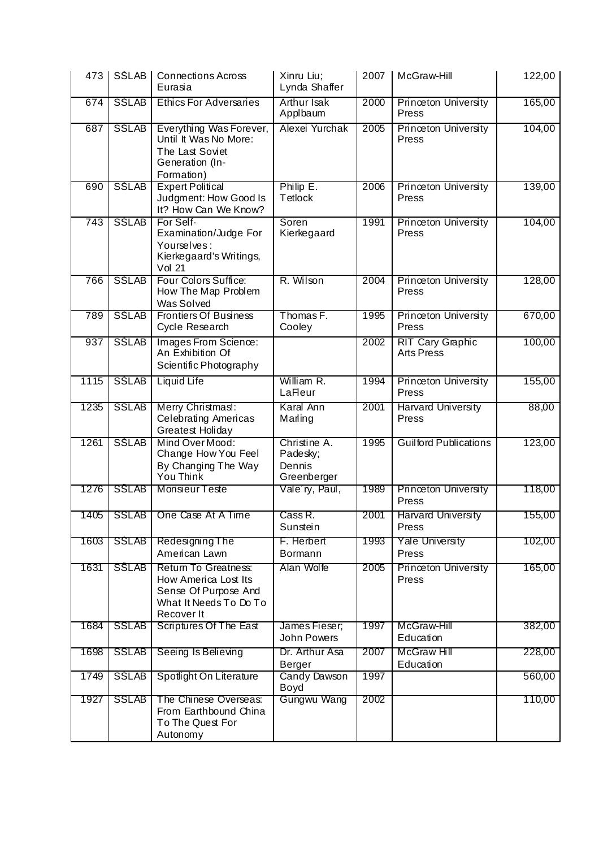| 473  | <b>SSLAB</b> | <b>Connections Across</b><br>Eurasia                                                                                | Xinru Liu;<br>Lynda Shaffer                       | 2007 | McGraw-Hill                                  | 122,00 |
|------|--------------|---------------------------------------------------------------------------------------------------------------------|---------------------------------------------------|------|----------------------------------------------|--------|
| 674  | <b>SSLAB</b> | <b>Ethics For Adversaries</b>                                                                                       | <b>Arthur Isak</b><br>Applbaum                    | 2000 | <b>Princeton University</b><br>Press         | 165,00 |
| 687  | <b>SSLAB</b> | Everything Was Forever,<br>Until It Was No More:<br>The Last Soviet<br>Generation (In-<br>Formation)                | Alexei Yurchak                                    | 2005 | <b>Princeton University</b><br>Press         | 104,00 |
| 690  | <b>SSLAB</b> | <b>Expert Political</b><br>Judgment: How Good Is<br>It? How Can We Know?                                            | Philip E.<br><b>Tetlock</b>                       | 2006 | <b>Princeton University</b><br>Press         | 139,00 |
| 743  | <b>SSLAB</b> | For Self-<br>Examination/Judge For<br>Yourselves:<br>Kierkegaard's Writings,<br><b>Vol 21</b>                       | Soren<br>Kierkegaard                              | 1991 | Princeton University<br>Press                | 104,00 |
| 766  | <b>SSLAB</b> | Four Colors Suffice:<br>How The Map Problem<br>Was Solved                                                           | R. Wilson                                         | 2004 | <b>Princeton University</b><br>Press         | 128,00 |
| 789  | <b>SSLAB</b> | <b>Frontiers Of Business</b><br>Cycle Research                                                                      | Thomas F.<br>Cooley                               | 1995 | <b>Princeton University</b><br>Press         | 670,00 |
| 937  | <b>SSLAB</b> | Images From Science:<br>An Exhibition Of<br>Scientific Photography                                                  |                                                   | 2002 | <b>RIT Cary Graphic</b><br><b>Arts Press</b> | 100,00 |
| 1115 | <b>SSLAB</b> | Liquid Life                                                                                                         | William R.<br>LaFleur                             | 1994 | <b>Princeton University</b><br>Press         | 155,00 |
| 1235 | <b>SSLAB</b> | Merry Christmas!:<br><b>Celebrating Americas</b><br>Greatest Holiday                                                | Karal Ann<br>Marling                              | 2001 | <b>Harvard University</b><br>Press           | 88,00  |
| 1261 | <b>SSLAB</b> | Mind Over Mood:<br>Change How You Feel<br>By Changing The Way<br>You Think                                          | Christine A.<br>Padesky;<br>Dennis<br>Greenberger | 1995 | <b>Guilford Publications</b>                 | 123,00 |
| 1276 | <b>SSLAB</b> | Monsieur Teste                                                                                                      | Vale'ry, Paul,                                    | 1989 | <b>Princeton University</b><br>Press         | 118,00 |
| 1405 |              | SSLAB   One Case At A Time                                                                                          | Cass R.<br>Sunstein                               | 2001 | <b>Harvard University</b><br>Press           | 155,00 |
| 1603 | SSLAB        | <b>Redesigning The</b><br>American Lawn                                                                             | F. Herbert<br>Bormann                             | 1993 | Yale University<br>Press                     | 102,00 |
| 1631 | <b>SSLAB</b> | <b>Return To Greatness:</b><br>How America Lost Its<br>Sense Of Purpose And<br>What It Needs To Do To<br>Recover It | Alan Wolfe                                        | 2005 | <b>Princeton University</b><br>Press         | 165,00 |
| 1684 | SSLAB        | Scriptures Of The East                                                                                              | James Fieser;<br>John Powers                      | 1997 | McGraw-Hill<br>Education                     | 382,00 |
| 1698 | <b>SSLAB</b> | Seeing Is Believing                                                                                                 | Dr. Arthur Asa<br>Berger                          | 2007 | McGraw Hill<br>Education                     | 228,00 |
| 1749 | <b>SSLAB</b> | Spotlight On Literature                                                                                             | Candy Dawson<br>Boyd                              | 1997 |                                              | 560,00 |
| 1927 | <b>SSLAB</b> | The Chinese Overseas:<br>From Earthbound China<br>To The Quest For<br>Autonomy                                      | Gungwu Wang                                       | 2002 |                                              | 110,00 |